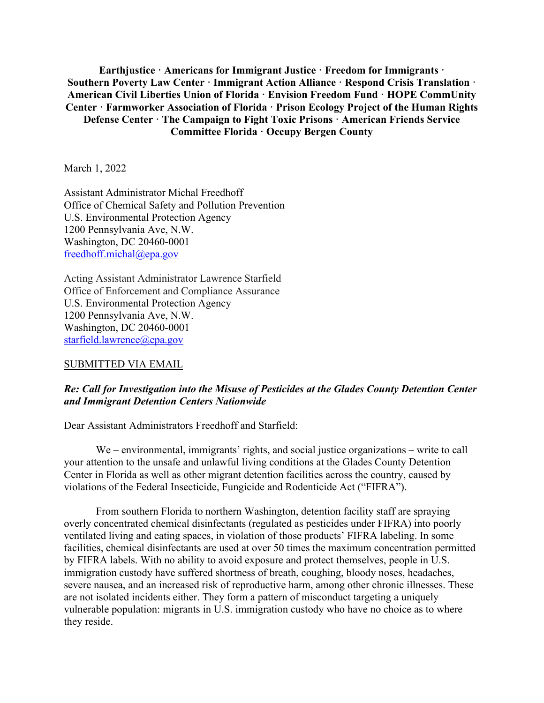**Earthjustice · Americans for Immigrant Justice · Freedom for Immigrants · Southern Poverty Law Center · Immigrant Action Alliance · Respond Crisis Translation · American Civil Liberties Union of Florida · Envision Freedom Fund · HOPE CommUnity Center · Farmworker Association of Florida · Prison Ecology Project of the Human Rights Defense Center · The Campaign to Fight Toxic Prisons · American Friends Service Committee Florida · Occupy Bergen County**

March 1, 2022

Assistant Administrator Michal Freedhoff Office of Chemical Safety and Pollution Prevention U.S. Environmental Protection Agency 1200 Pennsylvania Ave, N.W. Washington, DC 20460-0001 [freedhoff.michal@epa.gov](mailto:freedhoff.michal@epa.gov)

Acting Assistant Administrator Lawrence Starfield Office of Enforcement and Compliance Assurance U.S. Environmental Protection Agency 1200 Pennsylvania Ave, N.W. Washington, DC 20460-0001 [starfield.lawrence@epa.gov](mailto:starfield.lawrence@epa.gov)

#### SUBMITTED VIA EMAIL

### *Re: Call for Investigation into the Misuse of Pesticides at the Glades County Detention Center and Immigrant Detention Centers Nationwide*

Dear Assistant Administrators Freedhoff and Starfield:

We – environmental, immigrants' rights, and social justice organizations – write to call your attention to the unsafe and unlawful living conditions at the Glades County Detention Center in Florida as well as other migrant detention facilities across the country, caused by violations of the Federal Insecticide, Fungicide and Rodenticide Act ("FIFRA").

From southern Florida to northern Washington, detention facility staff are spraying overly concentrated chemical disinfectants (regulated as pesticides under FIFRA) into poorly ventilated living and eating spaces, in violation of those products' FIFRA labeling. In some facilities, chemical disinfectants are used at over 50 times the maximum concentration permitted by FIFRA labels. With no ability to avoid exposure and protect themselves, people in U.S. immigration custody have suffered shortness of breath, coughing, bloody noses, headaches, severe nausea, and an increased risk of reproductive harm, among other chronic illnesses. These are not isolated incidents either. They form a pattern of misconduct targeting a uniquely vulnerable population: migrants in U.S. immigration custody who have no choice as to where they reside.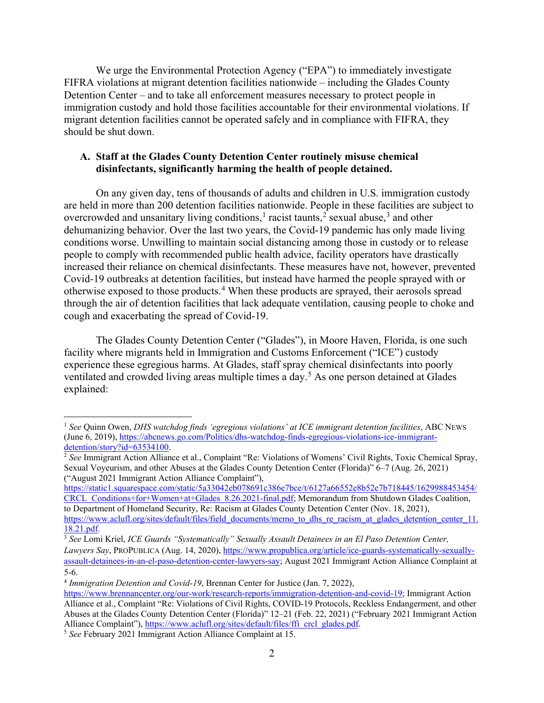We urge the Environmental Protection Agency ("EPA") to immediately investigate FIFRA violations at migrant detention facilities nationwide – including the Glades County Detention Center – and to take all enforcement measures necessary to protect people in immigration custody and hold those facilities accountable for their environmental violations. If migrant detention facilities cannot be operated safely and in compliance with FIFRA, they should be shut down.

# **A. Staff at the Glades County Detention Center routinely misuse chemical disinfectants, significantly harming the health of people detained.**

On any given day, tens of thousands of adults and children in U.S. immigration custody are held in more than 200 detention facilities nationwide. People in these facilities are subject to overcrowded and unsanitary living conditions,<sup>[1](#page-1-0)</sup> racist taunts,<sup>[2](#page-1-1)</sup> sexual abuse,<sup>[3](#page-1-2)</sup> and other dehumanizing behavior. Over the last two years, the Covid-19 pandemic has only made living conditions worse. Unwilling to maintain social distancing among those in custody or to release people to comply with recommended public health advice, facility operators have drastically increased their reliance on chemical disinfectants. These measures have not, however, prevented Covid-19 outbreaks at detention facilities, but instead have harmed the people sprayed with or otherwise exposed to those products.[4](#page-1-3) When these products are sprayed, their aerosols spread through the air of detention facilities that lack adequate ventilation, causing people to choke and cough and exacerbating the spread of Covid-19.

The Glades County Detention Center ("Glades"), in Moore Haven, Florida, is one such facility where migrants held in Immigration and Customs Enforcement ("ICE") custody experience these egregious harms. At Glades, staff spray chemical disinfectants into poorly ventilated and crowded living areas multiple times a day.[5](#page-1-4) As one person detained at Glades explained:

[https://static1.squarespace.com/static/5a33042eb078691c386e7bce/t/6127a66552e8b52e7b718445/1629988453454/](https://static1.squarespace.com/static/5a33042eb078691c386e7bce/t/6127a66552e8b52e7b718445/1629988453454/CRCL_Conditions+for+Women+at+Glades_8.26.2021-final.pdf) [CRCL\\_Conditions+for+Women+at+Glades\\_8.26.2021-final.pdf;](https://static1.squarespace.com/static/5a33042eb078691c386e7bce/t/6127a66552e8b52e7b718445/1629988453454/CRCL_Conditions+for+Women+at+Glades_8.26.2021-final.pdf) Memorandum from Shutdown Glades Coalition, to Department of Homeland Security, Re: Racism at Glades County Detention Center (Nov. 18, 2021),

<span id="page-1-0"></span><sup>1</sup> *See* Quinn Owen, *DHS watchdog finds 'egregious violations' at ICE immigrant detention facilities*, ABC NEWS (June 6, 2019)[, https://abcnews.go.com/Politics/dhs-watchdog-finds-egregious-violations-ice-immigrant](https://abcnews.go.com/Politics/dhs-watchdog-finds-egregious-violations-ice-immigrant-detention/story?id=63534100)[detention/story?id=63534100.](https://abcnews.go.com/Politics/dhs-watchdog-finds-egregious-violations-ice-immigrant-detention/story?id=63534100) 2 *See* Immigrant Action Alliance et al., Complaint "Re: Violations of Womens' Civil Rights, Toxic Chemical Spray,

<span id="page-1-1"></span>Sexual Voyeurism, and other Abuses at the Glades County Detention Center (Florida)" 6–7 (Aug. 26, 2021) ("August 2021 Immigrant Action Alliance Complaint"),

[https://www.aclufl.org/sites/default/files/field\\_documents/memo\\_to\\_dhs\\_re\\_racism\\_at\\_glades\\_detention\\_center\\_11.](https://www.aclufl.org/sites/default/files/field_documents/memo_to_dhs_re_racism_at_glades_detention_center_11.18.21.pdf)<br>18.21.pdf.

<span id="page-1-2"></span><sup>&</sup>lt;sup>3</sup> See Lomi Kriel, *ICE Guards "Systematically" Sexually Assault Detainees in an El Paso Detention Center, Lawyers Say*, PROPUBLICA (Aug. 14, 2020), [https://www.propublica.org/article/ice-guards-systematically-sexually](https://www.propublica.org/article/ice-guards-systematically-sexually-assault-detainees-in-an-el-paso-detention-center-lawyers-say)[assault-detainees-in-an-el-paso-detention-center-lawyers-say;](https://www.propublica.org/article/ice-guards-systematically-sexually-assault-detainees-in-an-el-paso-detention-center-lawyers-say) August 2021 Immigrant Action Alliance Complaint at 5-6.

<span id="page-1-3"></span><sup>4</sup> *Immigration Detention and Covid-19*, Brennan Center for Justice (Jan. 7, 2022),

[https://www.brennancenter.org/our-work/research-reports/immigration-detention-and-covid-19;](https://www.brennancenter.org/our-work/research-reports/immigration-detention-and-covid-19) Immigrant Action Alliance et al., Complaint "Re: Violations of Civil Rights, COVID-19 Protocols, Reckless Endangerment, and other Abuses at the Glades County Detention Center (Florida)" 12–21 (Feb. 22, 2021) ("February 2021 Immigrant Action Alliance Complaint"), [https://www.aclufl.org/sites/default/files/ffi\\_crcl\\_glades.pdf.](https://www.aclufl.org/sites/default/files/ffi_crcl_glades.pdf)

<span id="page-1-4"></span><sup>5</sup> *See* February 2021 Immigrant Action Alliance Complaint at 15.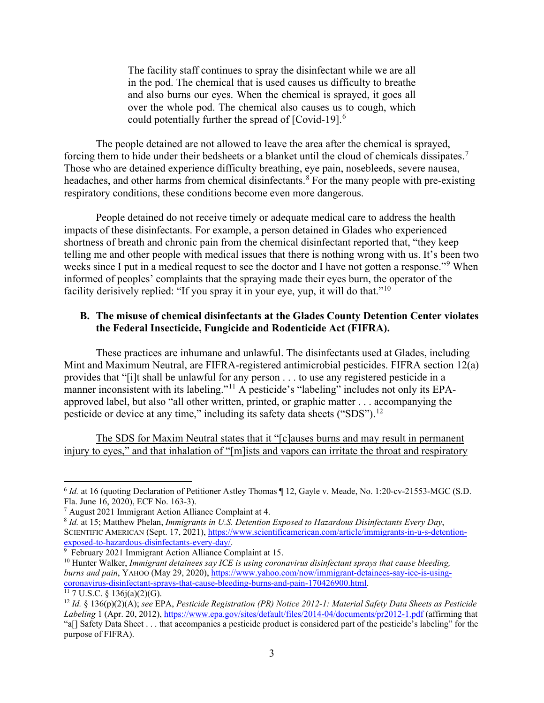The facility staff continues to spray the disinfectant while we are all in the pod. The chemical that is used causes us difficulty to breathe and also burns our eyes. When the chemical is sprayed, it goes all over the whole pod. The chemical also causes us to cough, which could potentially further the spread of [Covid-19]. $^6$  $^6$ 

The people detained are not allowed to leave the area after the chemical is sprayed, forcing them to hide under their bedsheets or a blanket until the cloud of chemicals dissipates.<sup>[7](#page-2-1)</sup> Those who are detained experience difficulty breathing, eye pain, nosebleeds, severe nausea, headaches, and other harms from chemical disinfectants.<sup>[8](#page-2-2)</sup> For the many people with pre-existing respiratory conditions, these conditions become even more dangerous.

People detained do not receive timely or adequate medical care to address the health impacts of these disinfectants. For example, a person detained in Glades who experienced shortness of breath and chronic pain from the chemical disinfectant reported that, "they keep telling me and other people with medical issues that there is nothing wrong with us. It's been two weeks since I put in a medical request to see the doctor and I have not gotten a response."<sup>[9](#page-2-3)</sup> When informed of peoples' complaints that the spraying made their eyes burn, the operator of the facility derisively replied: "If you spray it in your eye, yup, it will do that."<sup>[10](#page-2-4)</sup>

### **B. The misuse of chemical disinfectants at the Glades County Detention Center violates the Federal Insecticide, Fungicide and Rodenticide Act (FIFRA).**

These practices are inhumane and unlawful. The disinfectants used at Glades, including Mint and Maximum Neutral, are FIFRA-registered antimicrobial pesticides. FIFRA section 12(a) provides that "[i]t shall be unlawful for any person . . . to use any registered pesticide in a manner inconsistent with its labeling."<sup>[11](#page-2-5)</sup> A pesticide's "labeling" includes not only its EPAapproved label, but also "all other written, printed, or graphic matter . . . accompanying the pesticide or device at any time," including its safety data sheets ("SDS").<sup>[12](#page-2-6)</sup>

The SDS for Maxim Neutral states that it "[c]auses burns and may result in permanent injury to eyes," and that inhalation of "[m]ists and vapors can irritate the throat and respiratory

<span id="page-2-0"></span><sup>&</sup>lt;sup>6</sup> *Id.* at 16 (quoting Declaration of Petitioner Astley Thomas ¶ 12, Gayle v. Meade, No. 1:20-cv-21553-MGC (S.D. Fla. June 16, 2020), ECF No. 163-3).

<span id="page-2-1"></span><sup>7</sup> August 2021 Immigrant Action Alliance Complaint at 4.

<span id="page-2-2"></span><sup>8</sup> *Id.* at 15; Matthew Phelan, *Immigrants in U.S. Detention Exposed to Hazardous Disinfectants Every Day*, SCIENTIFIC AMERICAN (Sept. 17, 2021), [https://www.scientificamerican.com/article/immigrants-in-u-s-detention](https://www.scientificamerican.com/article/immigrants-in-u-s-detention-exposed-to-hazardous-disinfectants-every-day/)[exposed-to-hazardous-disinfectants-every-day/.](https://www.scientificamerican.com/article/immigrants-in-u-s-detention-exposed-to-hazardous-disinfectants-every-day/)<br><sup>9</sup> February 2021 Immigrant Action Alliance Complaint at 15.

<span id="page-2-3"></span>

<span id="page-2-4"></span><sup>&</sup>lt;sup>10</sup> Hunter Walker, *Immigrant detainees say ICE is using coronavirus disinfectant sprays that cause bleeding. burns and pain*, YAHOO (May 29, 2020), https://www.yahoo.com/now/immigrant-detainees-say-ice-is-using-coronavirus-disinfectant-sprays-that-cause-bleeding-burns-and-pain-170426900.html.

<span id="page-2-6"></span><span id="page-2-5"></span><sup>&</sup>lt;sup>11</sup> 7 U.S.C. § 136j(a)(2)(G).<br><sup>12</sup> Id. § 136(p)(2)(A); see EPA, Pesticide Registration (PR) Notice 2012-1: Material Safety Data Sheets as Pesticide *Labeling* 1 (Apr. 20, 2012),<https://www.epa.gov/sites/default/files/2014-04/documents/pr2012-1.pdf> (affirming that "a[] Safety Data Sheet . . . that accompanies a pesticide product is considered part of the pesticide's labeling" for the purpose of FIFRA).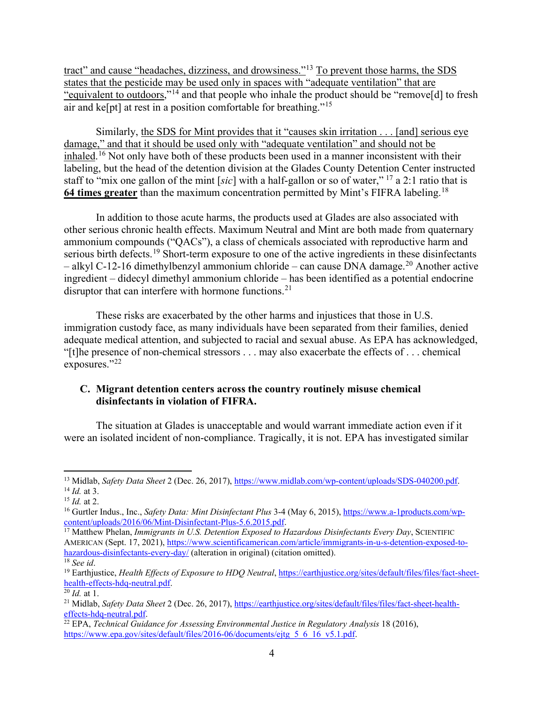tract" and cause "headaches, dizziness, and drowsiness."<sup>[13](#page-3-0)</sup> To prevent those harms, the SDS states that the pesticide may be used only in spaces with "adequate ventilation" that are "equivalent to outdoors,"[14](#page-3-1) and that people who inhale the product should be "remove[d] to fresh air and ke[pt] at rest in a position comfortable for breathing."[15](#page-3-2)

Similarly, the SDS for Mint provides that it "causes skin irritation . . . [and] serious eye damage," and that it should be used only with "adequate ventilation" and should not be inhaled.<sup>[16](#page-3-3)</sup> Not only have both of these products been used in a manner inconsistent with their labeling, but the head of the detention division at the Glades County Detention Center instructed staff to "mix one gallon of the mint [*sic*] with a half-gallon or so of water," [17](#page-3-4) a 2:1 ratio that is **64 times greater** than the maximum concentration permitted by Mint's FIFRA labeling.[18](#page-3-5)

In addition to those acute harms, the products used at Glades are also associated with other serious chronic health effects. Maximum Neutral and Mint are both made from quaternary ammonium compounds ("QACs"), a class of chemicals associated with reproductive harm and serious birth defects.<sup>[19](#page-3-6)</sup> Short-term exposure to one of the active ingredients in these disinfectants – alkyl C-12-16 dimethylbenzyl ammonium chloride – can cause DNA damage.<sup>[20](#page-3-7)</sup> Another active ingredient – didecyl dimethyl ammonium chloride – has been identified as a potential endocrine disruptor that can interfere with hormone functions.<sup>[21](#page-3-8)</sup>

These risks are exacerbated by the other harms and injustices that those in U.S. immigration custody face, as many individuals have been separated from their families, denied adequate medical attention, and subjected to racial and sexual abuse. As EPA has acknowledged, "[t]he presence of non-chemical stressors . . . may also exacerbate the effects of . . . chemical exposures."<sup>[22](#page-3-9)</sup>

# **C. Migrant detention centers across the country routinely misuse chemical disinfectants in violation of FIFRA.**

The situation at Glades is unacceptable and would warrant immediate action even if it were an isolated incident of non-compliance. Tragically, it is not. EPA has investigated similar

<span id="page-3-1"></span><span id="page-3-0"></span><sup>13</sup> Midlab, *Safety Data Sheet* 2 (Dec. 26, 2017)[, https://www.midlab.com/wp-content/uploads/SDS-040200.pdf.](https://www.midlab.com/wp-content/uploads/SDS-040200.pdf) <sup>14</sup> *Id.* at 3.

<span id="page-3-2"></span> $15$  *Id.* at 2.

<span id="page-3-3"></span><sup>&</sup>lt;sup>16</sup> Gurtler Indus., Inc., *Safety Data: Mint Disinfectant Plus* 3-4 (May 6, 2015), <u>https://www.a-1products.com/wp-content/uploads/2016/06/Mint-Disinfectant-Plus-5.6.2015.pdf.</u>

<span id="page-3-4"></span><sup>&</sup>lt;sup>17</sup> Matthew Phelan, *Immigrants in U.S. Detention Exposed to Hazardous Disinfectants Every Day*, SCIENTIFIC AMERICAN (Sept. 17, 2021), [https://www.scientificamerican.com/article/immigrants-in-u-s-detention-exposed-to](https://www.scientificamerican.com/article/immigrants-in-u-s-detention-exposed-to-hazardous-disinfectants-every-day/)[hazardous-disinfectants-every-day/](https://www.scientificamerican.com/article/immigrants-in-u-s-detention-exposed-to-hazardous-disinfectants-every-day/) (alteration in original) (citation omitted).

<span id="page-3-5"></span><sup>18</sup> *See id*.

<span id="page-3-6"></span><sup>&</sup>lt;sup>19</sup> Earthjustice, *Health Effects of Exposure to HDQ Neutral*[, https://earthjustice.org/sites/default/files/files/fact-sheet](https://earthjustice.org/sites/default/files/files/fact-sheet-health-effects-hdq-neutral.pdf)[health-effects-hdq-neutral.pdf.](https://earthjustice.org/sites/default/files/files/fact-sheet-health-effects-hdq-neutral.pdf) 20 *Id.* at 1.

<span id="page-3-7"></span>

<sup>21</sup> Midlab, *Safety Data Sheet* 2 (Dec. 26, 2017)[, https://earthjustice.org/sites/default/files/files/fact-sheet-health-](https://earthjustice.org/sites/default/files/files/fact-sheet-health-effects-hdq-neutral.pdf)

<span id="page-3-9"></span><span id="page-3-8"></span>[effects-hdq-neutral.pdf.](https://earthjustice.org/sites/default/files/files/fact-sheet-health-effects-hdq-neutral.pdf)<br><sup>22</sup> EPA, *Technical Guidance for Assessing Environmental Justice in Regulatory Analysis* 18 (2016), [https://www.epa.gov/sites/default/files/2016-06/documents/ejtg\\_5\\_6\\_16\\_v5.1.pdf.](https://www.epa.gov/sites/default/files/2016-06/documents/ejtg_5_6_16_v5.1.pdf)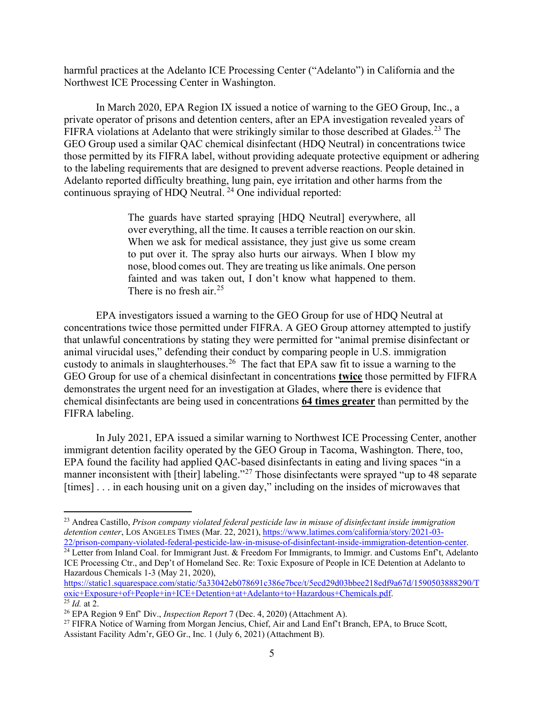harmful practices at the Adelanto ICE Processing Center ("Adelanto") in California and the Northwest ICE Processing Center in Washington.

In March 2020, EPA Region IX issued a notice of warning to the GEO Group, Inc., a private operator of prisons and detention centers, after an EPA investigation revealed years of FIFRA violations at Adelanto that were strikingly similar to those described at Glades.<sup>[23](#page-4-0)</sup> The GEO Group used a similar QAC chemical disinfectant (HDQ Neutral) in concentrations twice those permitted by its FIFRA label, without providing adequate protective equipment or adhering to the labeling requirements that are designed to prevent adverse reactions. People detained in Adelanto reported difficulty breathing, lung pain, eye irritation and other harms from the continuous spraying of HDQ Neutral. [24](#page-4-1) One individual reported:

> The guards have started spraying [HDQ Neutral] everywhere, all over everything, all the time. It causes a terrible reaction on our skin. When we ask for medical assistance, they just give us some cream to put over it. The spray also hurts our airways. When I blow my nose, blood comes out. They are treating us like animals. One person fainted and was taken out, I don't know what happened to them. There is no fresh air.<sup>[25](#page-4-2)</sup>

EPA investigators issued a warning to the GEO Group for use of HDQ Neutral at concentrations twice those permitted under FIFRA. A GEO Group attorney attempted to justify that unlawful concentrations by stating they were permitted for "animal premise disinfectant or animal virucidal uses," defending their conduct by comparing people in U.S. immigration custody to animals in slaughterhouses.<sup>26</sup> The fact that EPA saw fit to issue a warning to the GEO Group for use of a chemical disinfectant in concentrations **twice** those permitted by FIFRA demonstrates the urgent need for an investigation at Glades, where there is evidence that chemical disinfectants are being used in concentrations **64 times greater** than permitted by the FIFRA labeling.

In July 2021, EPA issued a similar warning to Northwest ICE Processing Center, another immigrant detention facility operated by the GEO Group in Tacoma, Washington. There, too, EPA found the facility had applied QAC-based disinfectants in eating and living spaces "in a manner inconsistent with [their] labeling."<sup>[27](#page-4-4)</sup> Those disinfectants were sprayed "up to 48 separate [times] . . . in each housing unit on a given day," including on the insides of microwaves that

<span id="page-4-0"></span><sup>23</sup> Andrea Castillo, *Prison company violated federal pesticide law in misuse of disinfectant inside immigration detention center*, LOS ANGELES TIMES (Mar. 22, 2021), [https://www.latimes.com/california/story/2021-03-](https://www.latimes.com/california/story/2021-03-22/prison-company-violated-federal-pesticide-law-in-misuse-of-disinfectant-inside-immigration-detention-center)<br>22/prison-company-violated-federal-pesticide-law-in-misuse-of-disinfectant-inside-immigration-detention-center.

<span id="page-4-1"></span> $\frac{1}{24}$  Letter from Inland Coal. for Immigrant Just. & Freedom For Immigrants, to Immigr. and Customs Enf't, Adelanto ICE Processing Ctr., and Dep't of Homeland Sec. Re: Toxic Exposure of People in ICE Detention at Adelanto to Hazardous Chemicals 1-3 (May 21, 2020),

[https://static1.squarespace.com/static/5a33042eb078691c386e7bce/t/5ecd29d03bbee218edf9a67d/1590503888290/T](https://static1.squarespace.com/static/5a33042eb078691c386e7bce/t/5ecd29d03bbee218edf9a67d/1590503888290/Toxic+Exposure+of+People+in+ICE+Detention+at+Adelanto+to+Hazardous+Chemicals.pdf) [oxic+Exposure+of+People+in+ICE+Detention+at+Adelanto+to+Hazardous+Chemicals.pdf.](https://static1.squarespace.com/static/5a33042eb078691c386e7bce/t/5ecd29d03bbee218edf9a67d/1590503888290/Toxic+Exposure+of+People+in+ICE+Detention+at+Adelanto+to+Hazardous+Chemicals.pdf) 25 *Id.* at 2.

<span id="page-4-3"></span><span id="page-4-2"></span><sup>26</sup> EPA Region 9 Enf' Div., *Inspection Report* 7 (Dec. 4, 2020) (Attachment A).

<span id="page-4-4"></span><sup>&</sup>lt;sup>27</sup> FIFRA Notice of Warning from Morgan Jencius, Chief, Air and Land Enf't Branch, EPA, to Bruce Scott, Assistant Facility Adm'r, GEO Gr., Inc. 1 (July 6, 2021) (Attachment B).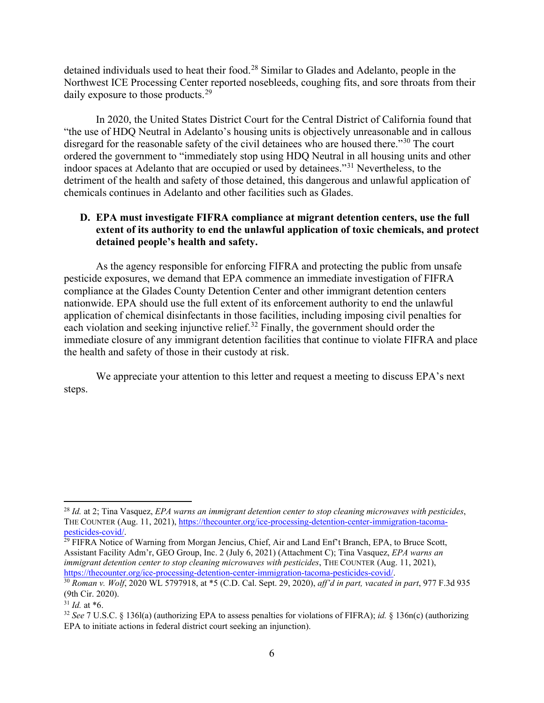detained individuals used to heat their food.<sup>[28](#page-5-0)</sup> Similar to Glades and Adelanto, people in the Northwest ICE Processing Center reported nosebleeds, coughing fits, and sore throats from their daily exposure to those products.<sup>[29](#page-5-1)</sup>

In 2020, the United States District Court for the Central District of California found that "the use of HDQ Neutral in Adelanto's housing units is objectively unreasonable and in callous disregard for the reasonable safety of the civil detainees who are housed there."<sup>[30](#page-5-2)</sup> The court ordered the government to "immediately stop using HDQ Neutral in all housing units and other indoor spaces at Adelanto that are occupied or used by detainees."[31](#page-5-3) Nevertheless, to the detriment of the health and safety of those detained, this dangerous and unlawful application of chemicals continues in Adelanto and other facilities such as Glades.

# **D. EPA must investigate FIFRA compliance at migrant detention centers, use the full extent of its authority to end the unlawful application of toxic chemicals, and protect detained people's health and safety.**

As the agency responsible for enforcing FIFRA and protecting the public from unsafe pesticide exposures, we demand that EPA commence an immediate investigation of FIFRA compliance at the Glades County Detention Center and other immigrant detention centers nationwide. EPA should use the full extent of its enforcement authority to end the unlawful application of chemical disinfectants in those facilities, including imposing civil penalties for each violation and seeking injunctive relief.<sup>[32](#page-5-4)</sup> Finally, the government should order the immediate closure of any immigrant detention facilities that continue to violate FIFRA and place the health and safety of those in their custody at risk.

We appreciate your attention to this letter and request a meeting to discuss EPA's next steps.

<span id="page-5-1"></span><sup>29</sup> FIFRA Notice of Warning from Morgan Jencius, Chief, Air and Land Enf't Branch, EPA, to Bruce Scott, Assistant Facility Adm'r, GEO Group, Inc. 2 (July 6, 2021) (Attachment C); Tina Vasquez, *EPA warns an immigrant detention center to stop cleaning microwaves with pesticides*, THE COUNTER (Aug. 11, 2021),

<span id="page-5-0"></span><sup>28</sup> *Id.* at 2; Tina Vasquez, *EPA warns an immigrant detention center to stop cleaning microwaves with pesticides*, THE COUNTER (Aug. 11, 2021), [https://thecounter.org/ice-processing-detention-center-immigration-tacoma](https://thecounter.org/ice-processing-detention-center-immigration-tacoma-pesticides-covid/)[pesticides-covid/.](https://thecounter.org/ice-processing-detention-center-immigration-tacoma-pesticides-covid/)

<span id="page-5-2"></span>[https://thecounter.org/ice-processing-detention-center-immigration-tacoma-pesticides-covid/.](https://thecounter.org/ice-processing-detention-center-immigration-tacoma-pesticides-covid/) 30 *Roman v. Wolf*, 2020 WL 5797918, at \*5 (C.D. Cal. Sept. 29, 2020), *aff'd in part, vacated in part*, 977 F.3d 935 (9th Cir. 2020).

<span id="page-5-3"></span> $31$  *Id.* at  $*6$ .

<span id="page-5-4"></span><sup>32</sup> *See* 7 U.S.C. § 136l(a) (authorizing EPA to assess penalties for violations of FIFRA); *id.* § 136n(c) (authorizing EPA to initiate actions in federal district court seeking an injunction).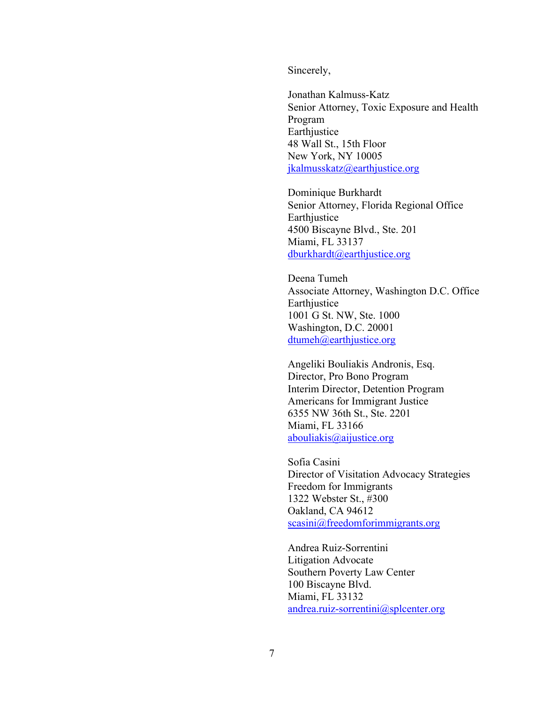Sincerely,

Jonathan Kalmuss-Katz Senior Attorney, Toxic Exposure and Health Program Earthjustice 48 Wall St., 15th Floor New York, NY 10005 [jkalmusskatz@earthjustice.org](mailto:jkalmusskatz@earthjustice.org)

Dominique Burkhardt Senior Attorney, Florida Regional Office Earthjustice 4500 Biscayne Blvd., Ste. 201 Miami, FL 33137 [dburkhardt@earthjustice.org](mailto:dburkhardt@earthjustice.org)

Deena Tumeh Associate Attorney, Washington D.C. Office Earthjustice 1001 G St. NW, Ste. 1000 Washington, D.C. 20001 [dtumeh@earthjustice.org](mailto:dtumeh@earthjustice.org)

Angeliki Bouliakis Andronis, Esq. Director, Pro Bono Program Interim Director, Detention Program Americans for Immigrant Justice 6355 NW 36th St., Ste. 2201 Miami, FL 33166 [abouliakis@aijustice.org](mailto:abouliakis@aijustice.org)

Sofia Casini Director of Visitation Advocacy Strategies Freedom for Immigrants 1322 Webster St., #300 Oakland, CA 94612 [scasini@freedomforimmigrants.org](mailto:scasini@freedomforimmigrants.org)

Andrea Ruiz-Sorrentini Litigation Advocate Southern Poverty Law Center 100 Biscayne Blvd. Miami, FL 33132 [andrea.ruiz-sorrentini@splcenter.org](mailto:andrea.ruiz-sorrentini@splcenter.org)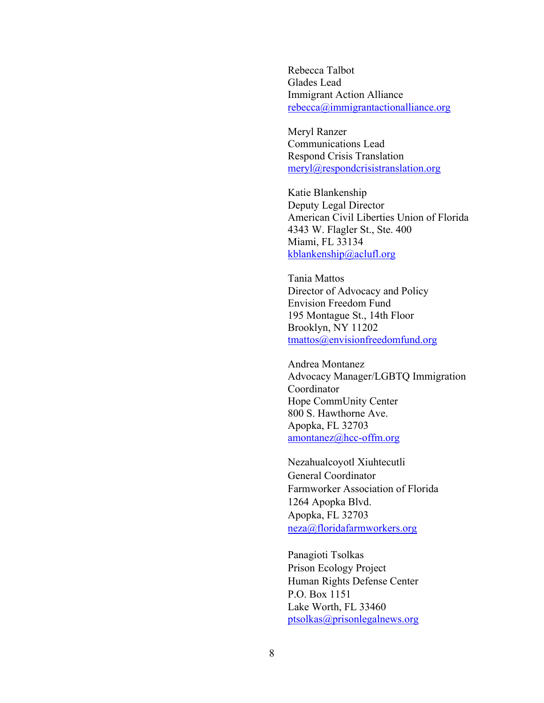Rebecca Talbot Glades Lead Immigrant Action Alliance [rebecca@immigrantactionalliance.org](mailto:rebecca@immigrantactionalliance.org)

Meryl Ranzer Communications Lead Respond Crisis Translation [meryl@respondcrisistranslation.org](mailto:meryl@respondcrisistranslation.org)

Katie Blankenship Deputy Legal Director American Civil Liberties Union of Florida 4343 W. Flagler St., Ste. 400 Miami, FL 33134 [kblankenship@aclufl.org](mailto:kblankenship@aclufl.org)

Tania Mattos Director of Advocacy and Policy Envision Freedom Fund 195 Montague St., 14th Floor Brooklyn, NY 11202 [tmattos@envisionfreedomfund.org](mailto:tmattos@envisionfreedomfund.org)

Andrea Montanez Advocacy Manager/LGBTQ Immigration Coordinator Hope CommUnity Center 800 S. Hawthorne Ave. Apopka, FL 32703 [amontanez@hcc-offm.org](mailto:amontanez@hcc-offm.org)

Nezahualcoyotl Xiuhtecutli General Coordinator Farmworker Association of Florida 1264 Apopka Blvd. Apopka, FL 32703 [neza@floridafarmworkers.org](mailto:neza@floridafarmworkers.org)

Panagioti Tsolkas Prison Ecology Project Human Rights Defense Center P.O. Box 1151 Lake Worth, FL 33460 [ptsolkas@prisonlegalnews.org](mailto:ptsolkas@prisonlegalnews.org)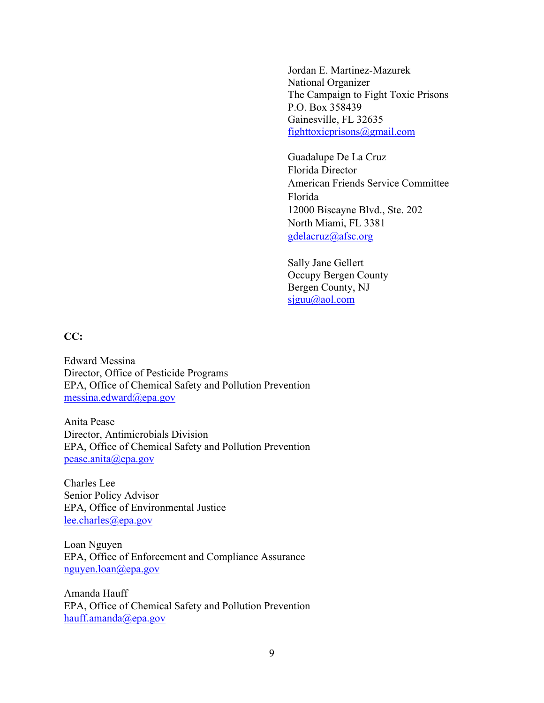Jordan E. Martinez-Mazurek National Organizer The Campaign to Fight Toxic Prisons P.O. Box 358439 Gainesville, FL 32635 [fighttoxicprisons@gmail.com](mailto:fighttoxicprisons@gmail.com)

Guadalupe De La Cruz Florida Director American Friends Service Committee Florida 12000 Biscayne Blvd., Ste. 202 North Miami, FL 3381 [gdelacruz@afsc.org](mailto:gdelacruz@afsc.org)

Sally Jane Gellert Occupy Bergen County Bergen County, NJ [sjguu@aol.com](mailto:sjguu@aol.com)

**CC:**

Edward Messina Director, Office of Pesticide Programs EPA, Office of Chemical Safety and Pollution Prevention [messina.edward@epa.gov](mailto:messina.edward@epa.gov)

Anita Pease Director, Antimicrobials Division EPA, Office of Chemical Safety and Pollution Prevention [pease.anita@epa.gov](mailto:pease.anita@epa.gov)

Charles Lee Senior Policy Advisor EPA, Office of Environmental Justice [lee.charles@epa.gov](mailto:lee.charles@epa.gov)

Loan Nguyen EPA, Office of Enforcement and Compliance Assurance [nguyen.loan@epa.gov](mailto:loan.nguyen@epa.gov)

Amanda Hauff EPA, Office of Chemical Safety and Pollution Prevention [hauff.amanda@epa.gov](mailto:amanda.hauff@epa.gov)